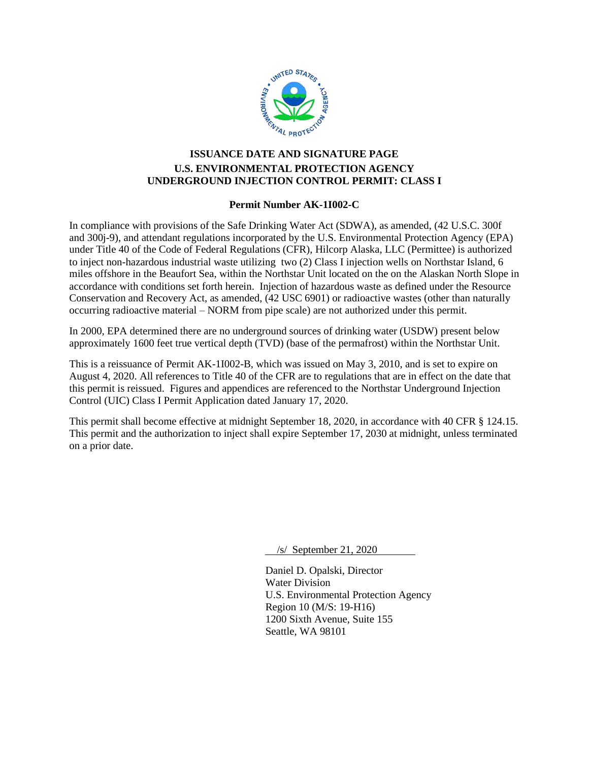

# **ISSUANCE DATE AND SIGNATURE PAGE U.S. ENVIRONMENTAL PROTECTION AGENCY UNDERGROUND INJECTION CONTROL PERMIT: CLASS I**

### **Permit Number AK-1I002-C**

<span id="page-0-0"></span>In compliance with provisions of the Safe Drinking Water Act (SDWA), as amended, (42 U.S.C. 300f and 300j-9), and attendant regulations incorporated by the U.S. Environmental Protection Agency (EPA) under Title 40 of the Code of Federal Regulations (CFR), Hilcorp Alaska, LLC (Permittee) is authorized to inject non-hazardous industrial waste utilizing two (2) Class I injection wells on Northstar Island, 6 miles offshore in the Beaufort Sea, within the Northstar Unit located on the on the Alaskan North Slope in accordance with conditions set forth herein. Injection of hazardous waste as defined under the Resource Conservation and Recovery Act, as amended, (42 USC 6901) or radioactive wastes (other than naturally occurring radioactive material – NORM from pipe scale) are not authorized under this permit.

In 2000, EPA determined there are no underground sources of drinking water (USDW) present below approximately 1600 feet true vertical depth (TVD) (base of the permafrost) within the Northstar Unit.

This is a reissuance of Permit AK-1I002-B, which was issued on May 3, 2010, and is set to expire on August 4, 2020. All references to Title 40 of the CFR are to regulations that are in effect on the date that this permit is reissued. Figures and appendices are referenced to the Northstar Underground Injection Control (UIC) Class I Permit Application dated January 17, 2020.

This permit shall become effective at midnight September 18, 2020, in accordance with 40 CFR § 124.15. This permit and the authorization to inject shall expire September 17, 2030 at midnight, unless terminated on a prior date.

/s/ September 21, 2020

Daniel D. Opalski, Director Water Division U.S. Environmental Protection Agency Region 10 (M/S: 19-H16) 1200 Sixth Avenue, Suite 155 Seattle, WA 98101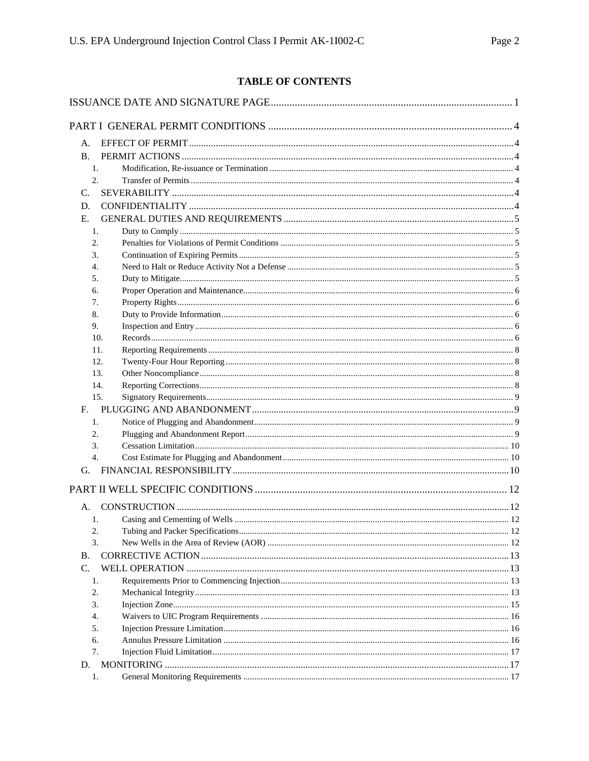# TABLE OF CONTENTS

| А.                     |  |
|------------------------|--|
| <b>B.</b>              |  |
| 1.                     |  |
| 2.                     |  |
| C.                     |  |
| D.                     |  |
| Е.                     |  |
| 1.                     |  |
| 2.                     |  |
| 3.                     |  |
| 4.                     |  |
| 5.                     |  |
| 6.                     |  |
| 7.                     |  |
| 8.                     |  |
| 9.                     |  |
| 10.                    |  |
| 11.                    |  |
| 12.                    |  |
| 13.                    |  |
| 14.                    |  |
| 15.                    |  |
| $F_{\rm{eff}}$         |  |
| 1.                     |  |
| 2.                     |  |
| 3.<br>$\overline{4}$ . |  |
|                        |  |
| G.                     |  |
|                        |  |
| А.                     |  |
| 1.                     |  |
| 2.                     |  |
| 3.                     |  |
| В.                     |  |
| C.                     |  |
| 1.                     |  |
| 2.                     |  |
| 3.                     |  |
| 4.                     |  |
| 5.                     |  |
| 6.                     |  |
| 7.                     |  |
| D.                     |  |
| 1.                     |  |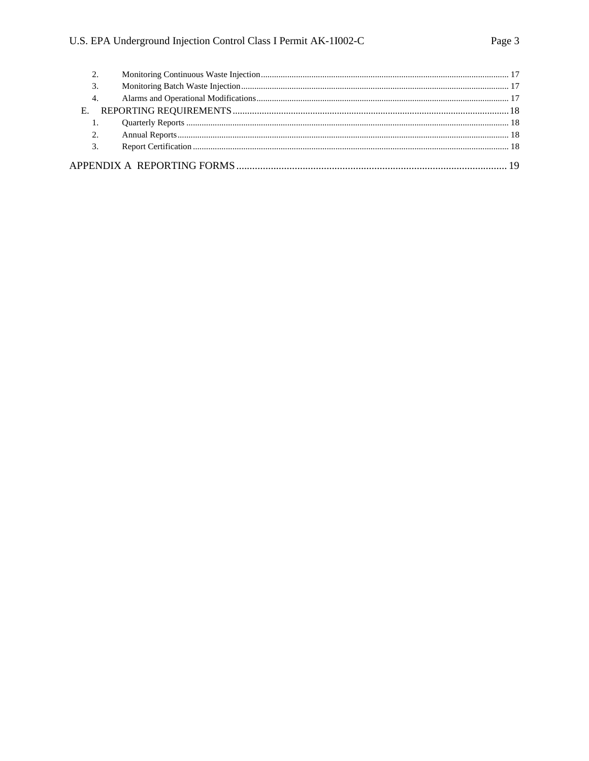| 3. |  |
|----|--|
| 4. |  |
|    |  |
|    |  |
| 2. |  |
| 3. |  |
|    |  |
|    |  |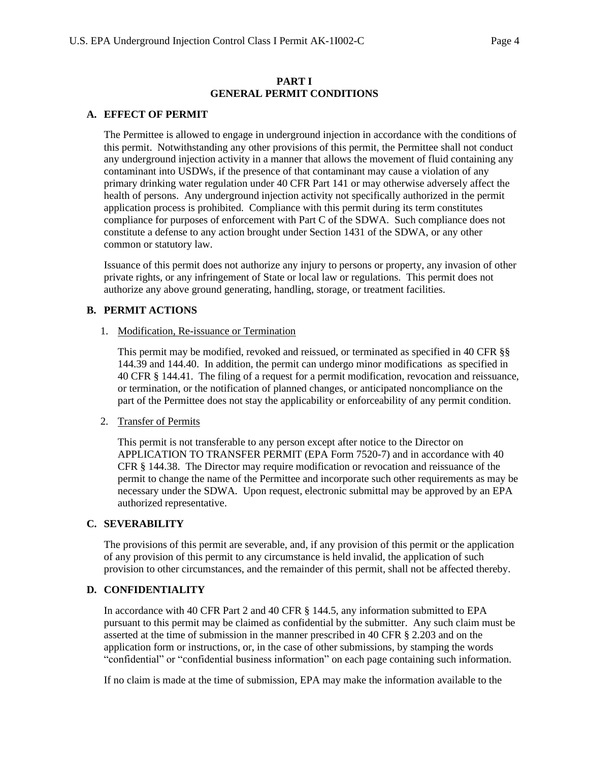### **PART I GENERAL PERMIT CONDITIONS**

### <span id="page-3-1"></span><span id="page-3-0"></span>**A. EFFECT OF PERMIT**

The Permittee is allowed to engage in underground injection in accordance with the conditions of this permit. Notwithstanding any other provisions of this permit, the Permittee shall not conduct any underground injection activity in a manner that allows the movement of fluid containing any contaminant into USDWs, if the presence of that contaminant may cause a violation of any primary drinking water regulation under 40 CFR Part 141 or may otherwise adversely affect the health of persons. Any underground injection activity not specifically authorized in the permit application process is prohibited. Compliance with this permit during its term constitutes compliance for purposes of enforcement with Part C of the SDWA. Such compliance does not constitute a defense to any action brought under Section 1431 of the SDWA, or any other common or statutory law.

Issuance of this permit does not authorize any injury to persons or property, any invasion of other private rights, or any infringement of State or local law or regulations. This permit does not authorize any above ground generating, handling, storage, or treatment facilities.

### <span id="page-3-3"></span><span id="page-3-2"></span>**B. PERMIT ACTIONS**

1. Modification, Re-issuance or Termination

This permit may be modified, revoked and reissued, or terminated as specified in 40 CFR §§ 144.39 and 144.40. In addition, the permit can undergo minor modifications as specified in 40 CFR § 144.41. The filing of a request for a permit modification, revocation and reissuance, or termination, or the notification of planned changes, or anticipated noncompliance on the part of the Permittee does not stay the applicability or enforceability of any permit condition.

<span id="page-3-4"></span>2. Transfer of Permits

This permit is not transferable to any person except after notice to the Director on APPLICATION TO TRANSFER PERMIT (EPA Form 7520-7) and in accordance with 40 CFR § 144.38. The Director may require modification or revocation and reissuance of the permit to change the name of the Permittee and incorporate such other requirements as may be necessary under the SDWA. Upon request, electronic submittal may be approved by an EPA authorized representative.

### <span id="page-3-5"></span>**C. SEVERABILITY**

The provisions of this permit are severable, and, if any provision of this permit or the application of any provision of this permit to any circumstance is held invalid, the application of such provision to other circumstances, and the remainder of this permit, shall not be affected thereby.

### <span id="page-3-6"></span>**D. CONFIDENTIALITY**

In accordance with 40 CFR Part 2 and 40 CFR § 144.5, any information submitted to EPA pursuant to this permit may be claimed as confidential by the submitter. Any such claim must be asserted at the time of submission in the manner prescribed in 40 CFR § 2.203 and on the application form or instructions, or, in the case of other submissions, by stamping the words "confidential" or "confidential business information" on each page containing such information.

If no claim is made at the time of submission, EPA may make the information available to the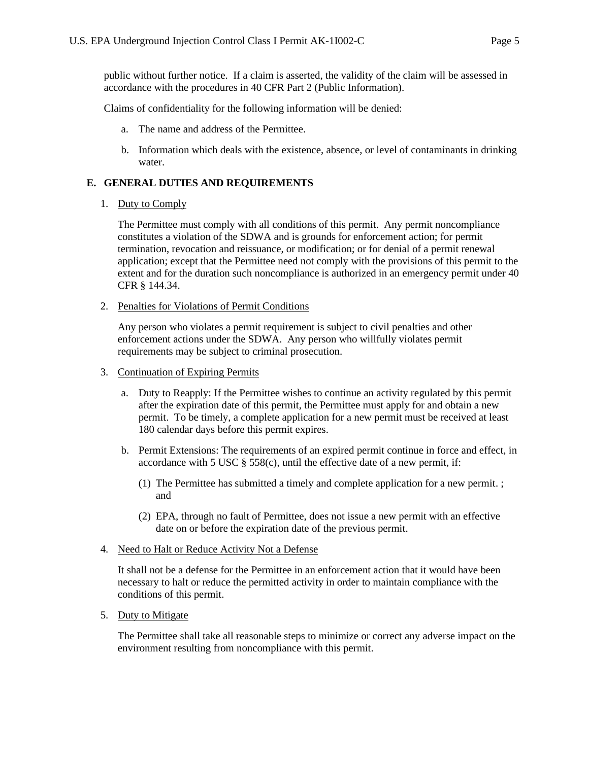public without further notice. If a claim is asserted, the validity of the claim will be assessed in accordance with the procedures in 40 CFR Part 2 (Public Information).

Claims of confidentiality for the following information will be denied:

- a. The name and address of the Permittee.
- b. Information which deals with the existence, absence, or level of contaminants in drinking water.

# <span id="page-4-1"></span><span id="page-4-0"></span>**E. GENERAL DUTIES AND REQUIREMENTS**

1. Duty to Comply

The Permittee must comply with all conditions of this permit. Any permit noncompliance constitutes a violation of the SDWA and is grounds for enforcement action; for permit termination, revocation and reissuance, or modification; or for denial of a permit renewal application; except that the Permittee need not comply with the provisions of this permit to the extent and for the duration such noncompliance is authorized in an emergency permit under 40 CFR § 144.34.

<span id="page-4-2"></span>2. Penalties for Violations of Permit Conditions

Any person who violates a permit requirement is subject to civil penalties and other enforcement actions under the SDWA. Any person who willfully violates permit requirements may be subject to criminal prosecution.

- <span id="page-4-3"></span>3. Continuation of Expiring Permits
	- a. Duty to Reapply: If the Permittee wishes to continue an activity regulated by this permit after the expiration date of this permit, the Permittee must apply for and obtain a new permit. To be timely, a complete application for a new permit must be received at least 180 calendar days before this permit expires.
	- b. Permit Extensions: The requirements of an expired permit continue in force and effect, in accordance with 5 USC  $\S$  558(c), until the effective date of a new permit, if:
		- (1) The Permittee has submitted a timely and complete application for a new permit. ; and
		- (2) EPA, through no fault of Permittee, does not issue a new permit with an effective date on or before the expiration date of the previous permit.

### <span id="page-4-4"></span>4. Need to Halt or Reduce Activity Not a Defense

It shall not be a defense for the Permittee in an enforcement action that it would have been necessary to halt or reduce the permitted activity in order to maintain compliance with the conditions of this permit.

<span id="page-4-5"></span>5. Duty to Mitigate

The Permittee shall take all reasonable steps to minimize or correct any adverse impact on the environment resulting from noncompliance with this permit.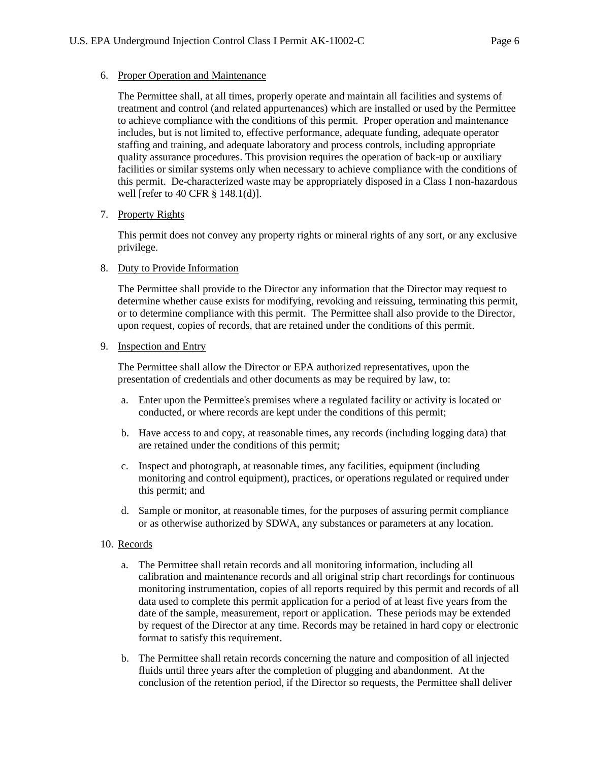#### <span id="page-5-0"></span>6. Proper Operation and Maintenance

The Permittee shall, at all times, properly operate and maintain all facilities and systems of treatment and control (and related appurtenances) which are installed or used by the Permittee to achieve compliance with the conditions of this permit. Proper operation and maintenance includes, but is not limited to, effective performance, adequate funding, adequate operator staffing and training, and adequate laboratory and process controls, including appropriate quality assurance procedures. This provision requires the operation of back-up or auxiliary facilities or similar systems only when necessary to achieve compliance with the conditions of this permit. De-characterized waste may be appropriately disposed in a Class I non-hazardous well [refer to 40 CFR § 148.1(d)].

### <span id="page-5-1"></span>7. Property Rights

This permit does not convey any property rights or mineral rights of any sort, or any exclusive privilege.

### <span id="page-5-2"></span>8. Duty to Provide Information

The Permittee shall provide to the Director any information that the Director may request to determine whether cause exists for modifying, revoking and reissuing, terminating this permit, or to determine compliance with this permit. The Permittee shall also provide to the Director, upon request, copies of records, that are retained under the conditions of this permit.

### <span id="page-5-3"></span>9. Inspection and Entry

The Permittee shall allow the Director or EPA authorized representatives, upon the presentation of credentials and other documents as may be required by law, to:

- a. Enter upon the Permittee's premises where a regulated facility or activity is located or conducted, or where records are kept under the conditions of this permit;
- b. Have access to and copy, at reasonable times, any records (including logging data) that are retained under the conditions of this permit;
- c. Inspect and photograph, at reasonable times, any facilities, equipment (including monitoring and control equipment), practices, or operations regulated or required under this permit; and
- d. Sample or monitor, at reasonable times, for the purposes of assuring permit compliance or as otherwise authorized by SDWA, any substances or parameters at any location.

### <span id="page-5-4"></span>10. Records

- a. The Permittee shall retain records and all monitoring information, including all calibration and maintenance records and all original strip chart recordings for continuous monitoring instrumentation, copies of all reports required by this permit and records of all data used to complete this permit application for a period of at least five years from the date of the sample, measurement, report or application. These periods may be extended by request of the Director at any time. Records may be retained in hard copy or electronic format to satisfy this requirement.
- b. The Permittee shall retain records concerning the nature and composition of all injected fluids until three years after the completion of plugging and abandonment. At the conclusion of the retention period, if the Director so requests, the Permittee shall deliver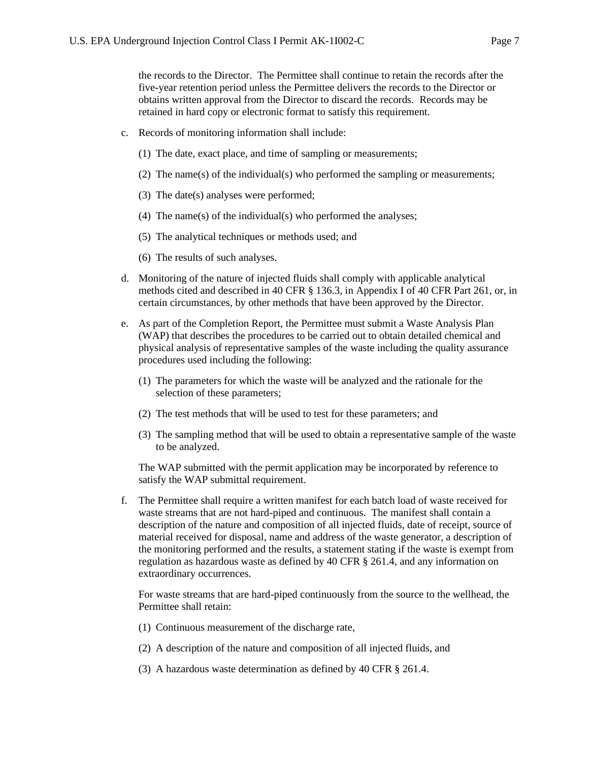the records to the Director. The Permittee shall continue to retain the records after the five-year retention period unless the Permittee delivers the records to the Director or obtains written approval from the Director to discard the records. Records may be retained in hard copy or electronic format to satisfy this requirement.

- c. Records of monitoring information shall include:
	- (1) The date, exact place, and time of sampling or measurements;
	- (2) The name(s) of the individual(s) who performed the sampling or measurements;
	- (3) The date(s) analyses were performed;
	- (4) The name(s) of the individual(s) who performed the analyses;
	- (5) The analytical techniques or methods used; and
	- (6) The results of such analyses.
- d. Monitoring of the nature of injected fluids shall comply with applicable analytical methods cited and described in 40 CFR § 136.3, in Appendix I of 40 CFR Part 261, or, in certain circumstances, by other methods that have been approved by the Director.
- e. As part of the Completion Report, the Permittee must submit a Waste Analysis Plan (WAP) that describes the procedures to be carried out to obtain detailed chemical and physical analysis of representative samples of the waste including the quality assurance procedures used including the following:
	- (1) The parameters for which the waste will be analyzed and the rationale for the selection of these parameters;
	- (2) The test methods that will be used to test for these parameters; and
	- (3) The sampling method that will be used to obtain a representative sample of the waste to be analyzed.

The WAP submitted with the permit application may be incorporated by reference to satisfy the WAP submittal requirement.

f. The Permittee shall require a written manifest for each batch load of waste received for waste streams that are not hard-piped and continuous. The manifest shall contain a description of the nature and composition of all injected fluids, date of receipt, source of material received for disposal, name and address of the waste generator, a description of the monitoring performed and the results, a statement stating if the waste is exempt from regulation as hazardous waste as defined by 40 CFR § 261.4, and any information on extraordinary occurrences.

For waste streams that are hard-piped continuously from the source to the wellhead, the Permittee shall retain:

- (1) Continuous measurement of the discharge rate,
- (2) A description of the nature and composition of all injected fluids, and
- (3) A hazardous waste determination as defined by 40 CFR § 261.4.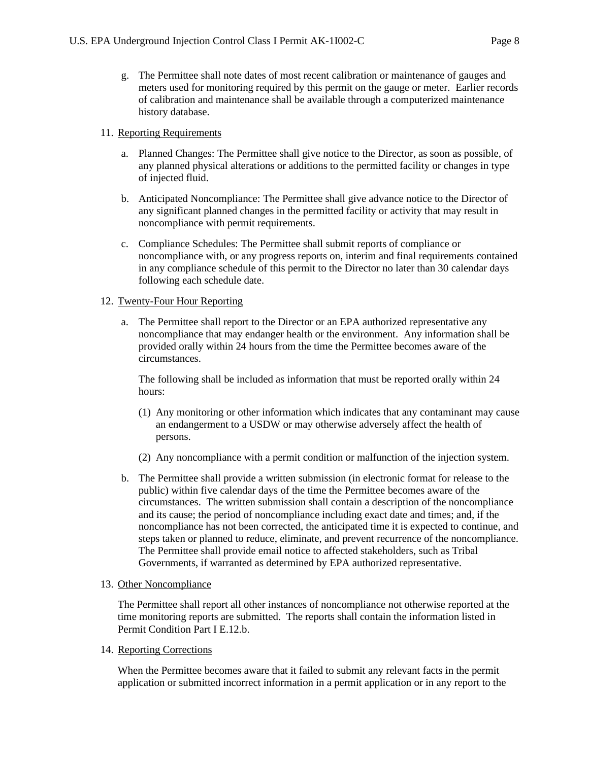g. The Permittee shall note dates of most recent calibration or maintenance of gauges and meters used for monitoring required by this permit on the gauge or meter. Earlier records of calibration and maintenance shall be available through a computerized maintenance history database.

### <span id="page-7-0"></span>11. Reporting Requirements

- a. Planned Changes: The Permittee shall give notice to the Director, as soon as possible, of any planned physical alterations or additions to the permitted facility or changes in type of injected fluid.
- b. Anticipated Noncompliance: The Permittee shall give advance notice to the Director of any significant planned changes in the permitted facility or activity that may result in noncompliance with permit requirements.
- c. Compliance Schedules: The Permittee shall submit reports of compliance or noncompliance with, or any progress reports on, interim and final requirements contained in any compliance schedule of this permit to the Director no later than 30 calendar days following each schedule date.

# <span id="page-7-1"></span>12. Twenty-Four Hour Reporting

a. The Permittee shall report to the Director or an EPA authorized representative any noncompliance that may endanger health or the environment. Any information shall be provided orally within 24 hours from the time the Permittee becomes aware of the circumstances.

The following shall be included as information that must be reported orally within 24 hours:

- (1) Any monitoring or other information which indicates that any contaminant may cause an endangerment to a USDW or may otherwise adversely affect the health of persons.
- (2) Any noncompliance with a permit condition or malfunction of the injection system.
- b. The Permittee shall provide a written submission (in electronic format for release to the public) within five calendar days of the time the Permittee becomes aware of the circumstances. The written submission shall contain a description of the noncompliance and its cause; the period of noncompliance including exact date and times; and, if the noncompliance has not been corrected, the anticipated time it is expected to continue, and steps taken or planned to reduce, eliminate, and prevent recurrence of the noncompliance. The Permittee shall provide email notice to affected stakeholders, such as Tribal Governments, if warranted as determined by EPA authorized representative.

### <span id="page-7-2"></span>13. Other Noncompliance

The Permittee shall report all other instances of noncompliance not otherwise reported at the time monitoring reports are submitted. The reports shall contain the information listed in Permit Condition Part I E.12.b.

### <span id="page-7-3"></span>14. Reporting Corrections

When the Permittee becomes aware that it failed to submit any relevant facts in the permit application or submitted incorrect information in a permit application or in any report to the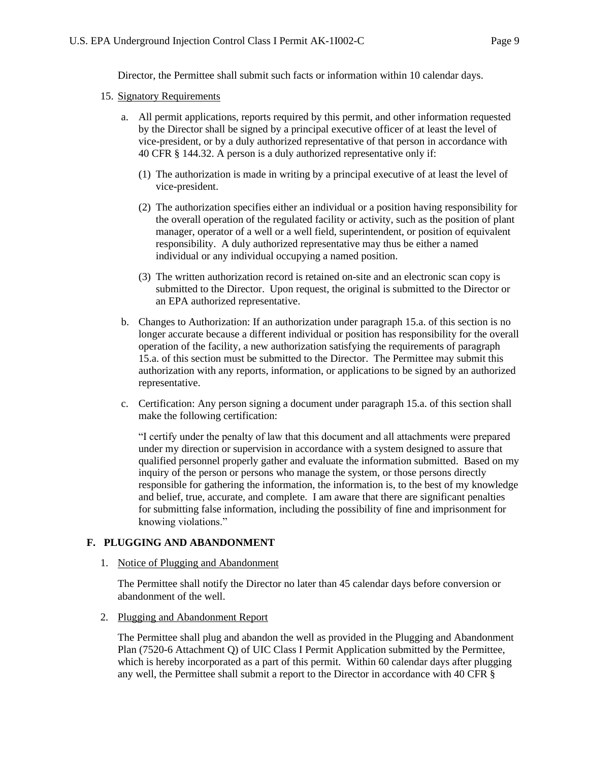Director, the Permittee shall submit such facts or information within 10 calendar days.

#### <span id="page-8-0"></span>15. Signatory Requirements

- a. All permit applications, reports required by this permit, and other information requested by the Director shall be signed by a principal executive officer of at least the level of vice-president, or by a duly authorized representative of that person in accordance with 40 CFR § 144.32. A person is a duly authorized representative only if:
	- (1) The authorization is made in writing by a principal executive of at least the level of vice-president.
	- (2) The authorization specifies either an individual or a position having responsibility for the overall operation of the regulated facility or activity, such as the position of plant manager, operator of a well or a well field, superintendent, or position of equivalent responsibility. A duly authorized representative may thus be either a named individual or any individual occupying a named position.
	- (3) The written authorization record is retained on-site and an electronic scan copy is submitted to the Director. Upon request, the original is submitted to the Director or an EPA authorized representative.
- b. Changes to Authorization: If an authorization under paragraph 15.a. of this section is no longer accurate because a different individual or position has responsibility for the overall operation of the facility, a new authorization satisfying the requirements of paragraph 15.a. of this section must be submitted to the Director. The Permittee may submit this authorization with any reports, information, or applications to be signed by an authorized representative.
- c. Certification: Any person signing a document under paragraph 15.a. of this section shall make the following certification:

"I certify under the penalty of law that this document and all attachments were prepared under my direction or supervision in accordance with a system designed to assure that qualified personnel properly gather and evaluate the information submitted. Based on my inquiry of the person or persons who manage the system, or those persons directly responsible for gathering the information, the information is, to the best of my knowledge and belief, true, accurate, and complete. I am aware that there are significant penalties for submitting false information, including the possibility of fine and imprisonment for knowing violations."

### <span id="page-8-2"></span><span id="page-8-1"></span>**F. PLUGGING AND ABANDONMENT**

#### 1. Notice of Plugging and Abandonment

The Permittee shall notify the Director no later than 45 calendar days before conversion or abandonment of the well.

<span id="page-8-3"></span>2. Plugging and Abandonment Report

The Permittee shall plug and abandon the well as provided in the Plugging and Abandonment Plan (7520-6 Attachment Q) of UIC Class I Permit Application submitted by the Permittee, which is hereby incorporated as a part of this permit. Within 60 calendar days after plugging any well, the Permittee shall submit a report to the Director in accordance with 40 CFR §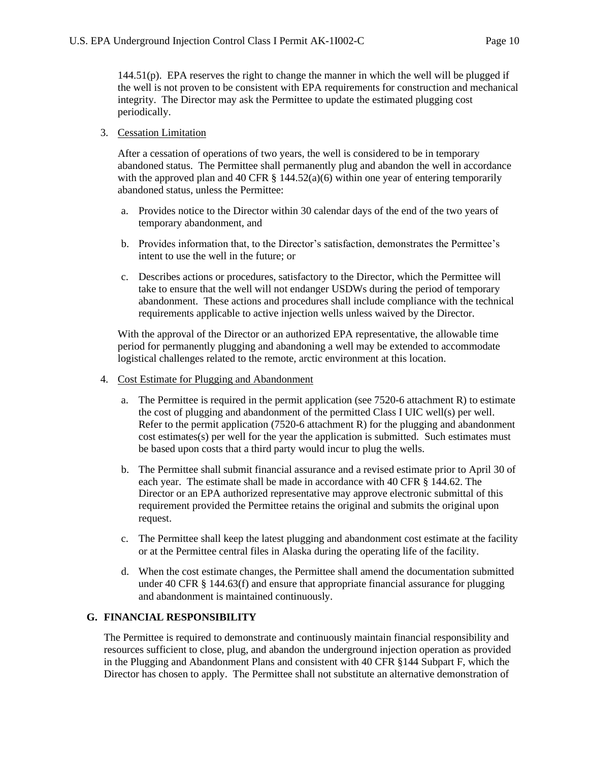$144.51(p)$ . EPA reserves the right to change the manner in which the well will be plugged if the well is not proven to be consistent with EPA requirements for construction and mechanical integrity. The Director may ask the Permittee to update the estimated plugging cost periodically.

#### <span id="page-9-0"></span>3. Cessation Limitation

After a cessation of operations of two years, the well is considered to be in temporary abandoned status. The Permittee shall permanently plug and abandon the well in accordance with the approved plan and 40 CFR  $\S$  144.52(a)(6) within one year of entering temporarily abandoned status, unless the Permittee:

- a. Provides notice to the Director within 30 calendar days of the end of the two years of temporary abandonment, and
- b. Provides information that, to the Director's satisfaction, demonstrates the Permittee's intent to use the well in the future; or
- c. Describes actions or procedures, satisfactory to the Director, which the Permittee will take to ensure that the well will not endanger USDWs during the period of temporary abandonment. These actions and procedures shall include compliance with the technical requirements applicable to active injection wells unless waived by the Director.

With the approval of the Director or an authorized EPA representative, the allowable time period for permanently plugging and abandoning a well may be extended to accommodate logistical challenges related to the remote, arctic environment at this location.

- <span id="page-9-1"></span>4. Cost Estimate for Plugging and Abandonment
	- a. The Permittee is required in the permit application (see 7520-6 attachment R) to estimate the cost of plugging and abandonment of the permitted Class I UIC well(s) per well. Refer to the permit application (7520-6 attachment R) for the plugging and abandonment cost estimates(s) per well for the year the application is submitted. Such estimates must be based upon costs that a third party would incur to plug the wells.
	- b. The Permittee shall submit financial assurance and a revised estimate prior to April 30 of each year. The estimate shall be made in accordance with 40 CFR § 144.62. The Director or an EPA authorized representative may approve electronic submittal of this requirement provided the Permittee retains the original and submits the original upon request.
	- c. The Permittee shall keep the latest plugging and abandonment cost estimate at the facility or at the Permittee central files in Alaska during the operating life of the facility.
	- d. When the cost estimate changes, the Permittee shall amend the documentation submitted under 40 CFR § 144.63(f) and ensure that appropriate financial assurance for plugging and abandonment is maintained continuously.

### <span id="page-9-2"></span>**G. FINANCIAL RESPONSIBILITY**

The Permittee is required to demonstrate and continuously maintain financial responsibility and resources sufficient to close, plug, and abandon the underground injection operation as provided in the Plugging and Abandonment Plans and consistent with 40 CFR §144 Subpart F, which the Director has chosen to apply. The Permittee shall not substitute an alternative demonstration of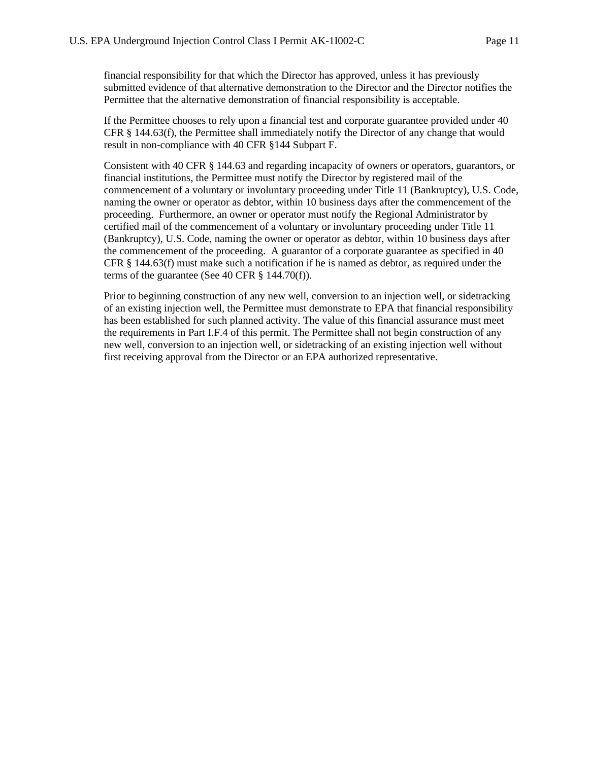financial responsibility for that which the Director has approved, unless it has previously submitted evidence of that alternative demonstration to the Director and the Director notifies the Permittee that the alternative demonstration of financial responsibility is acceptable.

If the Permittee chooses to rely upon a financial test and corporate guarantee provided under 40 CFR § 144.63(f), the Permittee shall immediately notify the Director of any change that would result in non-compliance with 40 CFR §144 Subpart F.

Consistent with 40 CFR § 144.63 and regarding incapacity of owners or operators, guarantors, or financial institutions, the Permittee must notify the Director by registered mail of the commencement of a voluntary or involuntary proceeding under Title 11 (Bankruptcy), U.S. Code, naming the owner or operator as debtor, within 10 business days after the commencement of the proceeding. Furthermore, an owner or operator must notify the Regional Administrator by certified mail of the commencement of a voluntary or involuntary proceeding under Title 11 (Bankruptcy), U.S. Code, naming the owner or operator as debtor, within 10 business days after the commencement of the proceeding. A guarantor of a corporate guarantee as specified in 40 CFR § 144.63(f) must make such a notification if he is named as debtor, as required under the terms of the guarantee (See 40 CFR  $\S$  144.70(f)).

Prior to beginning construction of any new well, conversion to an injection well, or sidetracking of an existing injection well, the Permittee must demonstrate to EPA that financial responsibility has been established for such planned activity. The value of this financial assurance must meet the requirements in Part I.F.4 of this permit. The Permittee shall not begin construction of any new well, conversion to an injection well, or sidetracking of an existing injection well without first receiving approval from the Director or an EPA authorized representative.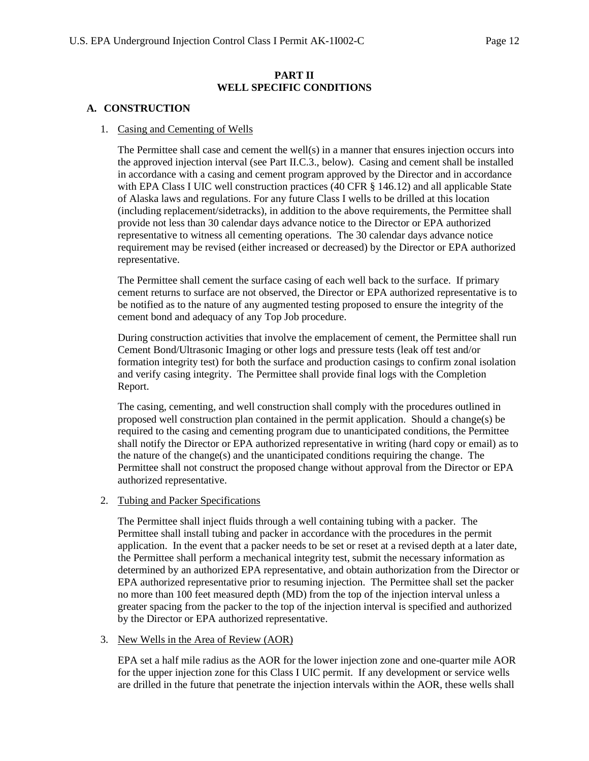### **PART II WELL SPECIFIC CONDITIONS**

### <span id="page-11-2"></span><span id="page-11-1"></span><span id="page-11-0"></span>**A. CONSTRUCTION**

#### 1. Casing and Cementing of Wells

The Permittee shall case and cement the well(s) in a manner that ensures injection occurs into the approved injection interval (see Part II.C.3., below). Casing and cement shall be installed in accordance with a casing and cement program approved by the Director and in accordance with EPA Class I UIC well construction practices (40 CFR § 146.12) and all applicable State of Alaska laws and regulations. For any future Class I wells to be drilled at this location (including replacement/sidetracks), in addition to the above requirements, the Permittee shall provide not less than 30 calendar days advance notice to the Director or EPA authorized representative to witness all cementing operations. The 30 calendar days advance notice requirement may be revised (either increased or decreased) by the Director or EPA authorized representative.

The Permittee shall cement the surface casing of each well back to the surface. If primary cement returns to surface are not observed, the Director or EPA authorized representative is to be notified as to the nature of any augmented testing proposed to ensure the integrity of the cement bond and adequacy of any Top Job procedure.

During construction activities that involve the emplacement of cement, the Permittee shall run Cement Bond/Ultrasonic Imaging or other logs and pressure tests (leak off test and/or formation integrity test) for both the surface and production casings to confirm zonal isolation and verify casing integrity. The Permittee shall provide final logs with the Completion Report.

The casing, cementing, and well construction shall comply with the procedures outlined in proposed well construction plan contained in the permit application. Should a change(s) be required to the casing and cementing program due to unanticipated conditions, the Permittee shall notify the Director or EPA authorized representative in writing (hard copy or email) as to the nature of the change(s) and the unanticipated conditions requiring the change. The Permittee shall not construct the proposed change without approval from the Director or EPA authorized representative.

#### <span id="page-11-3"></span>2. Tubing and Packer Specifications

The Permittee shall inject fluids through a well containing tubing with a packer. The Permittee shall install tubing and packer in accordance with the procedures in the permit application. In the event that a packer needs to be set or reset at a revised depth at a later date, the Permittee shall perform a mechanical integrity test, submit the necessary information as determined by an authorized EPA representative, and obtain authorization from the Director or EPA authorized representative prior to resuming injection. The Permittee shall set the packer no more than 100 feet measured depth (MD) from the top of the injection interval unless a greater spacing from the packer to the top of the injection interval is specified and authorized by the Director or EPA authorized representative.

#### <span id="page-11-4"></span>3. New Wells in the Area of Review (AOR)

EPA set a half mile radius as the AOR for the lower injection zone and one-quarter mile AOR for the upper injection zone for this Class I UIC permit. If any development or service wells are drilled in the future that penetrate the injection intervals within the AOR, these wells shall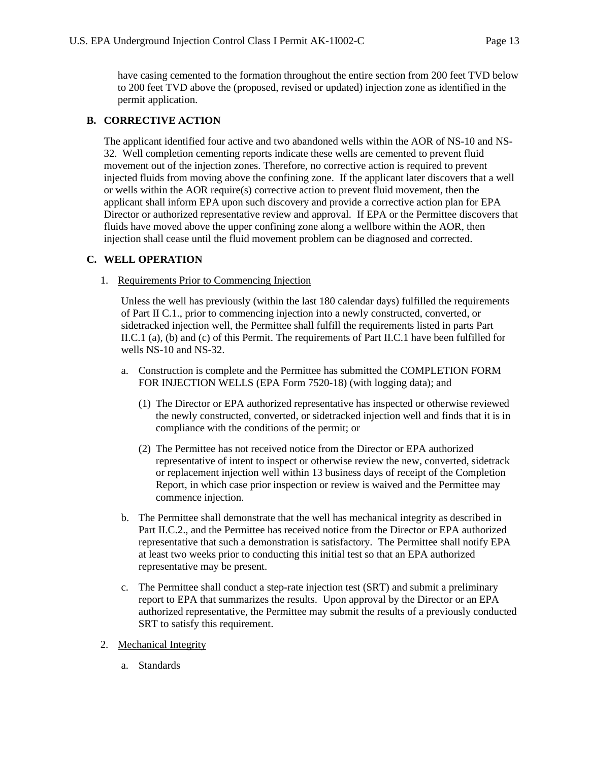have casing cemented to the formation throughout the entire section from 200 feet TVD below to 200 feet TVD above the (proposed, revised or updated) injection zone as identified in the permit application.

# <span id="page-12-0"></span>**B. CORRECTIVE ACTION**

The applicant identified four active and two abandoned wells within the AOR of NS-10 and NS-32. Well completion cementing reports indicate these wells are cemented to prevent fluid movement out of the injection zones. Therefore, no corrective action is required to prevent injected fluids from moving above the confining zone. If the applicant later discovers that a well or wells within the AOR require(s) corrective action to prevent fluid movement, then the applicant shall inform EPA upon such discovery and provide a corrective action plan for EPA Director or authorized representative review and approval. If EPA or the Permittee discovers that fluids have moved above the upper confining zone along a wellbore within the AOR, then injection shall cease until the fluid movement problem can be diagnosed and corrected.

### <span id="page-12-2"></span><span id="page-12-1"></span>**C. WELL OPERATION**

#### 1. Requirements Prior to Commencing Injection

Unless the well has previously (within the last 180 calendar days) fulfilled the requirements of Part II C.1., prior to commencing injection into a newly constructed, converted, or sidetracked injection well, the Permittee shall fulfill the requirements listed in parts Part II.C.1 (a), (b) and (c) of this Permit. The requirements of Part II.C.1 have been fulfilled for wells NS-10 and NS-32.

- a. Construction is complete and the Permittee has submitted the COMPLETION FORM FOR INJECTION WELLS (EPA Form 7520-18) (with logging data); and
	- (1) The Director or EPA authorized representative has inspected or otherwise reviewed the newly constructed, converted, or sidetracked injection well and finds that it is in compliance with the conditions of the permit; or
	- (2) The Permittee has not received notice from the Director or EPA authorized representative of intent to inspect or otherwise review the new, converted, sidetrack or replacement injection well within 13 business days of receipt of the Completion Report, in which case prior inspection or review is waived and the Permittee may commence injection.
- b. The Permittee shall demonstrate that the well has mechanical integrity as described in Part II.C.2., and the Permittee has received notice from the Director or EPA authorized representative that such a demonstration is satisfactory. The Permittee shall notify EPA at least two weeks prior to conducting this initial test so that an EPA authorized representative may be present.
- c. The Permittee shall conduct a step-rate injection test (SRT) and submit a preliminary report to EPA that summarizes the results. Upon approval by the Director or an EPA authorized representative, the Permittee may submit the results of a previously conducted SRT to satisfy this requirement.
- <span id="page-12-3"></span>2. Mechanical Integrity
	- a. Standards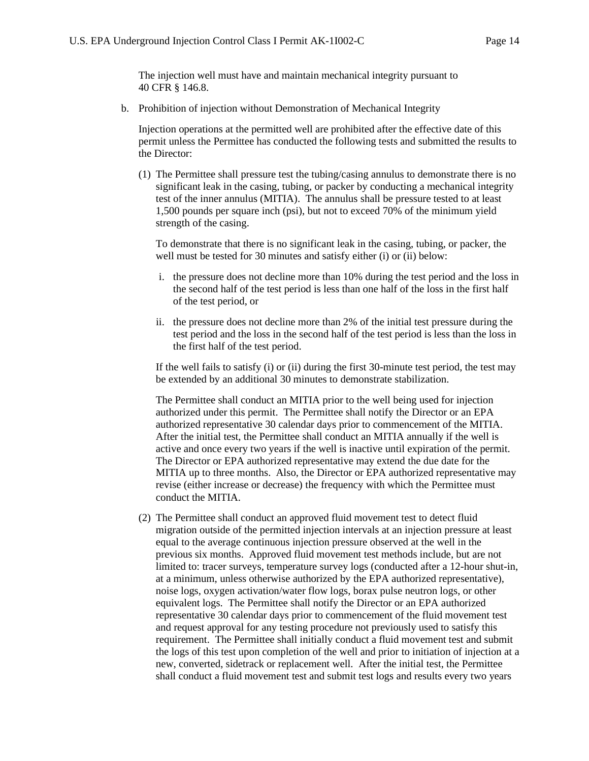The injection well must have and maintain mechanical integrity pursuant to 40 CFR § 146.8.

b. Prohibition of injection without Demonstration of Mechanical Integrity

Injection operations at the permitted well are prohibited after the effective date of this permit unless the Permittee has conducted the following tests and submitted the results to the Director:

(1) The Permittee shall pressure test the tubing/casing annulus to demonstrate there is no significant leak in the casing, tubing, or packer by conducting a mechanical integrity test of the inner annulus (MITIA). The annulus shall be pressure tested to at least 1,500 pounds per square inch (psi), but not to exceed 70% of the minimum yield strength of the casing.

To demonstrate that there is no significant leak in the casing, tubing, or packer, the well must be tested for 30 minutes and satisfy either (i) or (ii) below:

- i. the pressure does not decline more than 10% during the test period and the loss in the second half of the test period is less than one half of the loss in the first half of the test period, or
- ii. the pressure does not decline more than 2% of the initial test pressure during the test period and the loss in the second half of the test period is less than the loss in the first half of the test period.

If the well fails to satisfy (i) or (ii) during the first 30-minute test period, the test may be extended by an additional 30 minutes to demonstrate stabilization.

The Permittee shall conduct an MITIA prior to the well being used for injection authorized under this permit. The Permittee shall notify the Director or an EPA authorized representative 30 calendar days prior to commencement of the MITIA. After the initial test, the Permittee shall conduct an MITIA annually if the well is active and once every two years if the well is inactive until expiration of the permit. The Director or EPA authorized representative may extend the due date for the MITIA up to three months. Also, the Director or EPA authorized representative may revise (either increase or decrease) the frequency with which the Permittee must conduct the MITIA.

(2) The Permittee shall conduct an approved fluid movement test to detect fluid migration outside of the permitted injection intervals at an injection pressure at least equal to the average continuous injection pressure observed at the well in the previous six months. Approved fluid movement test methods include, but are not limited to: tracer surveys, temperature survey logs (conducted after a 12-hour shut-in, at a minimum, unless otherwise authorized by the EPA authorized representative), noise logs, oxygen activation/water flow logs, borax pulse neutron logs, or other equivalent logs. The Permittee shall notify the Director or an EPA authorized representative 30 calendar days prior to commencement of the fluid movement test and request approval for any testing procedure not previously used to satisfy this requirement. The Permittee shall initially conduct a fluid movement test and submit the logs of this test upon completion of the well and prior to initiation of injection at a new, converted, sidetrack or replacement well. After the initial test, the Permittee shall conduct a fluid movement test and submit test logs and results every two years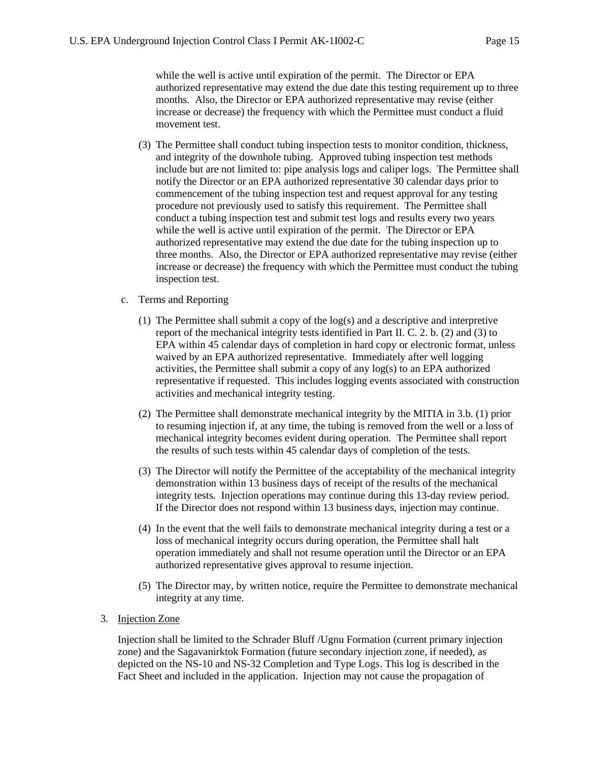while the well is active until expiration of the permit. The Director or EPA authorized representative may extend the due date this testing requirement up to three months. Also, the Director or EPA authorized representative may revise (either increase or decrease) the frequency with which the Permittee must conduct a fluid movement test.

- (3) The Permittee shall conduct tubing inspection tests to monitor condition, thickness, and integrity of the downhole tubing. Approved tubing inspection test methods include but are not limited to: pipe analysis logs and caliper logs. The Permittee shall notify the Director or an EPA authorized representative 30 calendar days prior to commencement of the tubing inspection test and request approval for any testing procedure not previously used to satisfy this requirement. The Permittee shall conduct a tubing inspection test and submit test logs and results every two years while the well is active until expiration of the permit. The Director or EPA authorized representative may extend the due date for the tubing inspection up to three months. Also, the Director or EPA authorized representative may revise (either increase or decrease) the frequency with which the Permittee must conduct the tubing inspection test.
- c. Terms and Reporting
	- (1) The Permittee shall submit a copy of the log(s) and a descriptive and interpretive report of the mechanical integrity tests identified in Part II. C. 2. b. (2) and (3) to EPA within 45 calendar days of completion in hard copy or electronic format, unless waived by an EPA authorized representative. Immediately after well logging activities, the Permittee shall submit a copy of any log(s) to an EPA authorized representative if requested. This includes logging events associated with construction activities and mechanical integrity testing.
	- (2) The Permittee shall demonstrate mechanical integrity by the MITIA in 3.b. (1) prior to resuming injection if, at any time, the tubing is removed from the well or a loss of mechanical integrity becomes evident during operation. The Permittee shall report the results of such tests within 45 calendar days of completion of the tests.
	- (3) The Director will notify the Permittee of the acceptability of the mechanical integrity demonstration within 13 business days of receipt of the results of the mechanical integrity tests. Injection operations may continue during this 13-day review period. If the Director does not respond within 13 business days, injection may continue.
	- (4) In the event that the well fails to demonstrate mechanical integrity during a test or a loss of mechanical integrity occurs during operation, the Permittee shall halt operation immediately and shall not resume operation until the Director or an EPA authorized representative gives approval to resume injection.
	- (5) The Director may, by written notice, require the Permittee to demonstrate mechanical integrity at any time.
- <span id="page-14-0"></span>3. Injection Zone

Injection shall be limited to the Schrader Bluff /Ugnu Formation (current primary injection zone) and the Sagavanirktok Formation (future secondary injection zone, if needed), as depicted on the NS-10 and NS-32 Completion and Type Logs. This log is described in the Fact Sheet and included in the application. Injection may not cause the propagation of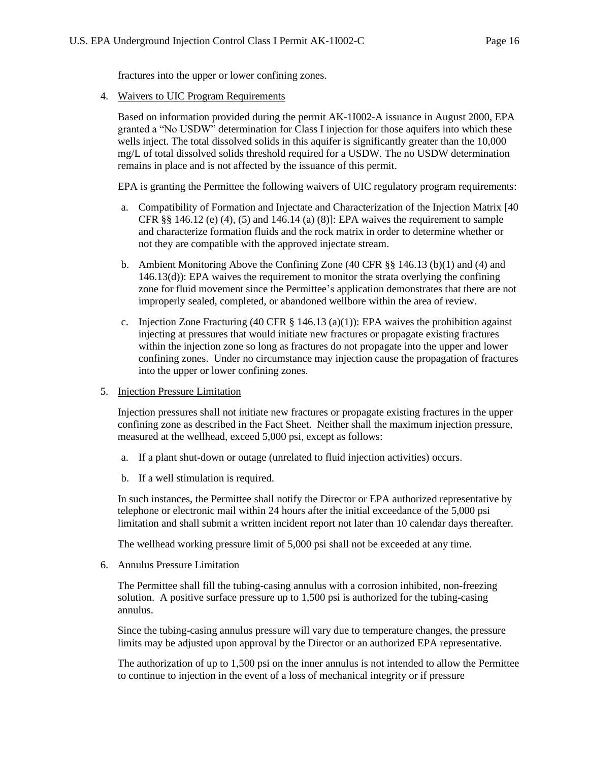fractures into the upper or lower confining zones.

<span id="page-15-0"></span>4. Waivers to UIC Program Requirements

Based on information provided during the permit AK-1I002-A issuance in August 2000, EPA granted a "No USDW" determination for Class I injection for those aquifers into which these wells inject. The total dissolved solids in this aquifer is significantly greater than the 10,000 mg/L of total dissolved solids threshold required for a USDW. The no USDW determination remains in place and is not affected by the issuance of this permit.

EPA is granting the Permittee the following waivers of UIC regulatory program requirements:

- a. Compatibility of Formation and Injectate and Characterization of the Injection Matrix [40 CFR  $\S$ § 146.12 (e) (4), (5) and 146.14 (a) (8)]: EPA waives the requirement to sample and characterize formation fluids and the rock matrix in order to determine whether or not they are compatible with the approved injectate stream.
- b. Ambient Monitoring Above the Confining Zone (40 CFR §§ 146.13 (b)(1) and (4) and 146.13(d)): EPA waives the requirement to monitor the strata overlying the confining zone for fluid movement since the Permittee's application demonstrates that there are not improperly sealed, completed, or abandoned wellbore within the area of review.
- c. Injection Zone Fracturing (40 CFR  $\S$  146.13 (a)(1)): EPA waives the prohibition against injecting at pressures that would initiate new fractures or propagate existing fractures within the injection zone so long as fractures do not propagate into the upper and lower confining zones. Under no circumstance may injection cause the propagation of fractures into the upper or lower confining zones.
- <span id="page-15-1"></span>5. Injection Pressure Limitation

Injection pressures shall not initiate new fractures or propagate existing fractures in the upper confining zone as described in the Fact Sheet. Neither shall the maximum injection pressure, measured at the wellhead, exceed 5,000 psi, except as follows:

- a. If a plant shut-down or outage (unrelated to fluid injection activities) occurs.
- b. If a well stimulation is required.

In such instances, the Permittee shall notify the Director or EPA authorized representative by telephone or electronic mail within 24 hours after the initial exceedance of the 5,000 psi limitation and shall submit a written incident report not later than 10 calendar days thereafter.

The wellhead working pressure limit of 5,000 psi shall not be exceeded at any time.

<span id="page-15-2"></span>6. Annulus Pressure Limitation

The Permittee shall fill the tubing-casing annulus with a corrosion inhibited, non-freezing solution. A positive surface pressure up to 1,500 psi is authorized for the tubing-casing annulus.

Since the tubing-casing annulus pressure will vary due to temperature changes, the pressure limits may be adjusted upon approval by the Director or an authorized EPA representative.

The authorization of up to 1,500 psi on the inner annulus is not intended to allow the Permittee to continue to injection in the event of a loss of mechanical integrity or if pressure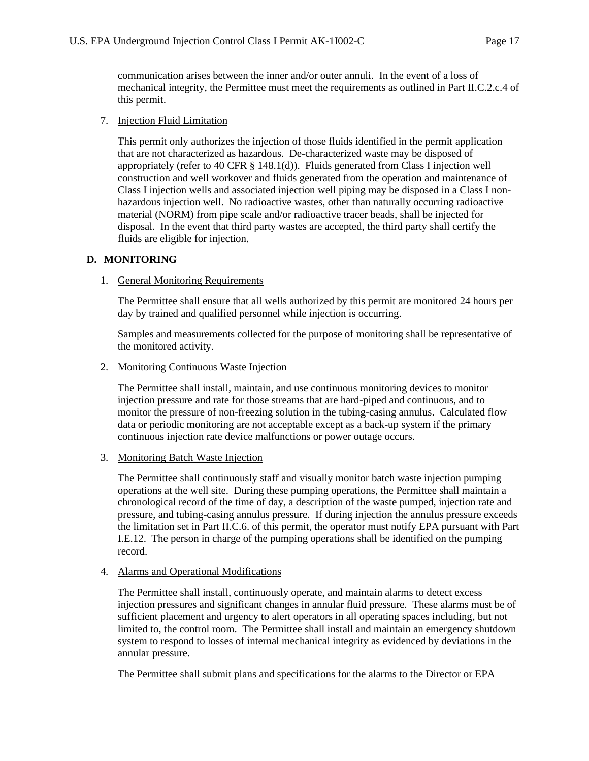communication arises between the inner and/or outer annuli. In the event of a loss of mechanical integrity, the Permittee must meet the requirements as outlined in Part II.C.2.c.4 of this permit.

### <span id="page-16-0"></span>7. Injection Fluid Limitation

This permit only authorizes the injection of those fluids identified in the permit application that are not characterized as hazardous. De-characterized waste may be disposed of appropriately (refer to 40 CFR § 148.1(d)). Fluids generated from Class I injection well construction and well workover and fluids generated from the operation and maintenance of Class I injection wells and associated injection well piping may be disposed in a Class I nonhazardous injection well. No radioactive wastes, other than naturally occurring radioactive material (NORM) from pipe scale and/or radioactive tracer beads, shall be injected for disposal. In the event that third party wastes are accepted, the third party shall certify the fluids are eligible for injection.

### <span id="page-16-2"></span><span id="page-16-1"></span>**D. MONITORING**

### 1. General Monitoring Requirements

The Permittee shall ensure that all wells authorized by this permit are monitored 24 hours per day by trained and qualified personnel while injection is occurring.

Samples and measurements collected for the purpose of monitoring shall be representative of the monitored activity.

<span id="page-16-3"></span>2. Monitoring Continuous Waste Injection

The Permittee shall install, maintain, and use continuous monitoring devices to monitor injection pressure and rate for those streams that are hard-piped and continuous, and to monitor the pressure of non-freezing solution in the tubing-casing annulus. Calculated flow data or periodic monitoring are not acceptable except as a back-up system if the primary continuous injection rate device malfunctions or power outage occurs.

### <span id="page-16-4"></span>3. Monitoring Batch Waste Injection

The Permittee shall continuously staff and visually monitor batch waste injection pumping operations at the well site. During these pumping operations, the Permittee shall maintain a chronological record of the time of day, a description of the waste pumped, injection rate and pressure, and tubing-casing annulus pressure. If during injection the annulus pressure exceeds the limitation set in Part II.C.6. of this permit, the operator must notify EPA pursuant with Part I.E.12. The person in charge of the pumping operations shall be identified on the pumping record.

### <span id="page-16-5"></span>4. Alarms and Operational Modifications

The Permittee shall install, continuously operate, and maintain alarms to detect excess injection pressures and significant changes in annular fluid pressure. These alarms must be of sufficient placement and urgency to alert operators in all operating spaces including, but not limited to, the control room. The Permittee shall install and maintain an emergency shutdown system to respond to losses of internal mechanical integrity as evidenced by deviations in the annular pressure.

The Permittee shall submit plans and specifications for the alarms to the Director or EPA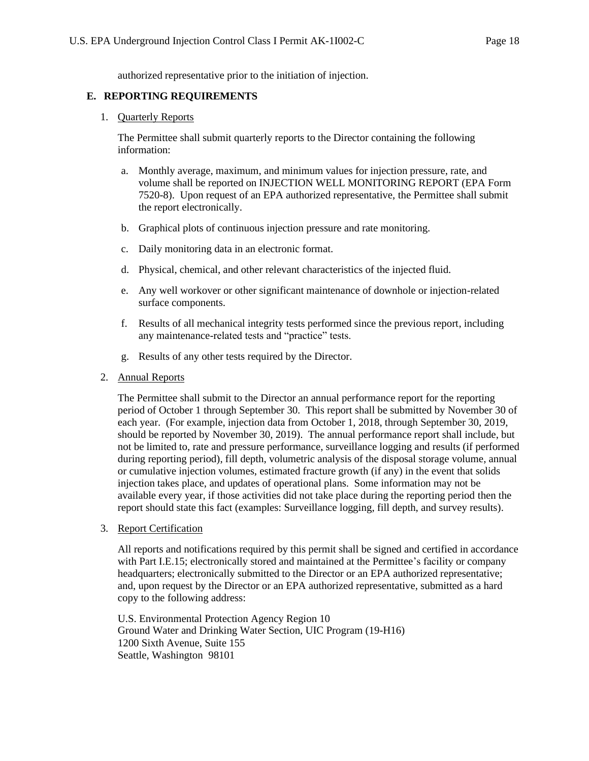authorized representative prior to the initiation of injection.

#### <span id="page-17-1"></span><span id="page-17-0"></span>**E. REPORTING REQUIREMENTS**

#### 1. Quarterly Reports

The Permittee shall submit quarterly reports to the Director containing the following information:

- a. Monthly average, maximum, and minimum values for injection pressure, rate, and volume shall be reported on INJECTION WELL MONITORING REPORT (EPA Form 7520-8). Upon request of an EPA authorized representative, the Permittee shall submit the report electronically.
- b. Graphical plots of continuous injection pressure and rate monitoring.
- c. Daily monitoring data in an electronic format.
- d. Physical, chemical, and other relevant characteristics of the injected fluid.
- e. Any well workover or other significant maintenance of downhole or injection-related surface components.
- f. Results of all mechanical integrity tests performed since the previous report, including any maintenance-related tests and "practice" tests.
- g. Results of any other tests required by the Director.
- <span id="page-17-2"></span>2. Annual Reports

The Permittee shall submit to the Director an annual performance report for the reporting period of October 1 through September 30. This report shall be submitted by November 30 of each year. (For example, injection data from October 1, 2018, through September 30, 2019, should be reported by November 30, 2019). The annual performance report shall include, but not be limited to, rate and pressure performance, surveillance logging and results (if performed during reporting period), fill depth, volumetric analysis of the disposal storage volume, annual or cumulative injection volumes, estimated fracture growth (if any) in the event that solids injection takes place, and updates of operational plans. Some information may not be available every year, if those activities did not take place during the reporting period then the report should state this fact (examples: Surveillance logging, fill depth, and survey results).

<span id="page-17-3"></span>3. Report Certification

All reports and notifications required by this permit shall be signed and certified in accordance with Part I.E.15; electronically stored and maintained at the Permittee's facility or company headquarters; electronically submitted to the Director or an EPA authorized representative; and, upon request by the Director or an EPA authorized representative, submitted as a hard copy to the following address:

U.S. Environmental Protection Agency Region 10 Ground Water and Drinking Water Section, UIC Program (19-H16) 1200 Sixth Avenue, Suite 155 Seattle, Washington 98101